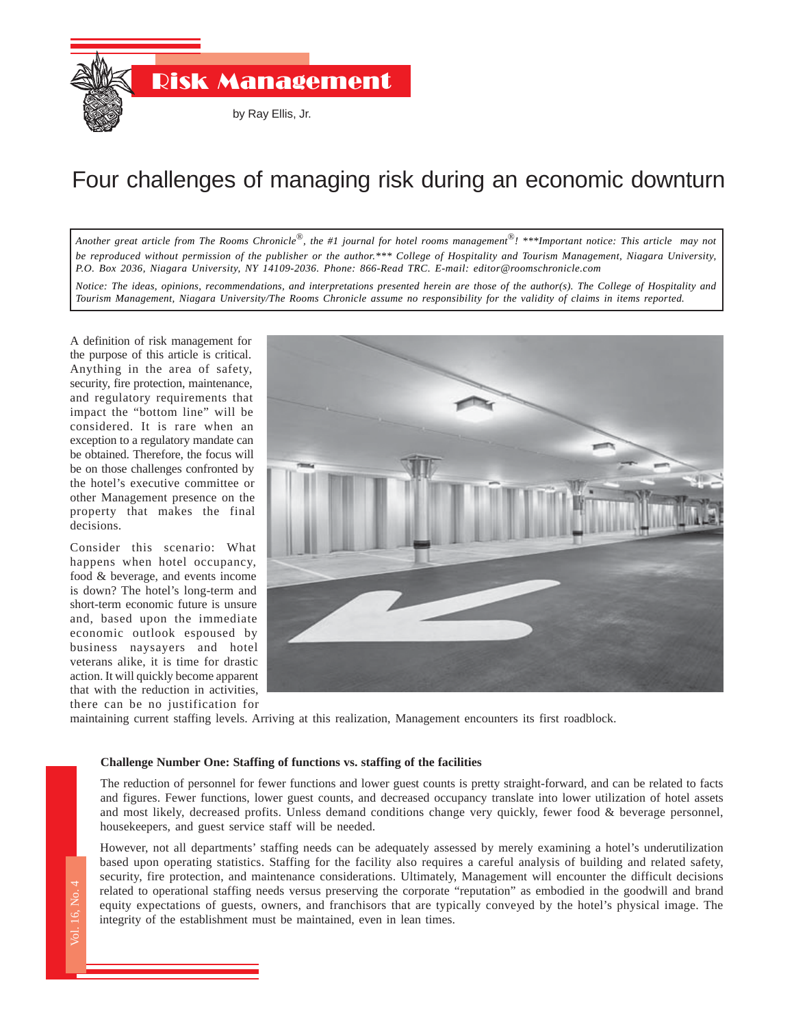

# Four challenges of managing risk during an economic downturn

*Another great article from The Rooms Chronicle*®*, the #1 journal for hotel rooms management*®*! \*\*\*Important notice: This article may not be reproduced without permission of the publisher or the author.\*\*\* College of Hospitality and Tourism Management, Niagara University, P.O. Box 2036, Niagara University, NY 14109-2036. Phone: 866-Read TRC. E-mail: editor@roomschronicle.com*

*Notice: The ideas, opinions, recommendations, and interpretations presented herein are those of the author(s). The College of Hospitality and Tourism Management, Niagara University/The Rooms Chronicle assume no responsibility for the validity of claims in items reported.*

A definition of risk management for the purpose of this article is critical. Anything in the area of safety, security, fire protection, maintenance, and regulatory requirements that impact the "bottom line" will be considered. It is rare when an exception to a regulatory mandate can be obtained. Therefore, the focus will be on those challenges confronted by the hotel's executive committee or other Management presence on the property that makes the final decisions.

Consider this scenario: What happens when hotel occupancy, food & beverage, and events income is down? The hotel's long-term and short-term economic future is unsure and, based upon the immediate economic outlook espoused by business naysayers and hotel veterans alike, it is time for drastic action. It will quickly become apparent that with the reduction in activities, there can be no justification for



maintaining current staffing levels. Arriving at this realization, Management encounters its first roadblock.

### **Challenge Number One: Staffing of functions vs. staffing of the facilities**

The reduction of personnel for fewer functions and lower guest counts is pretty straight-forward, and can be related to facts and figures. Fewer functions, lower guest counts, and decreased occupancy translate into lower utilization of hotel assets and most likely, decreased profits. Unless demand conditions change very quickly, fewer food & beverage personnel, housekeepers, and guest service staff will be needed.

an<br>an<br>ho<br>Hc<br>sec<br>rel<br>eq<br>int However, not all departments' staffing needs can be adequately assessed by merely examining a hotel's underutilization based upon operating statistics. Staffing for the facility also requires a careful analysis of building and related safety, security, fire protection, and maintenance considerations. Ultimately, Management will encounter the difficult decisions related to operational staffing needs versus preserving the corporate "reputation" as embodied in the goodwill and brand equity expectations of guests, owners, and franchisors that are typically conveyed by the hotel's physical image. The integrity of the establishment must be maintained, even in lean times.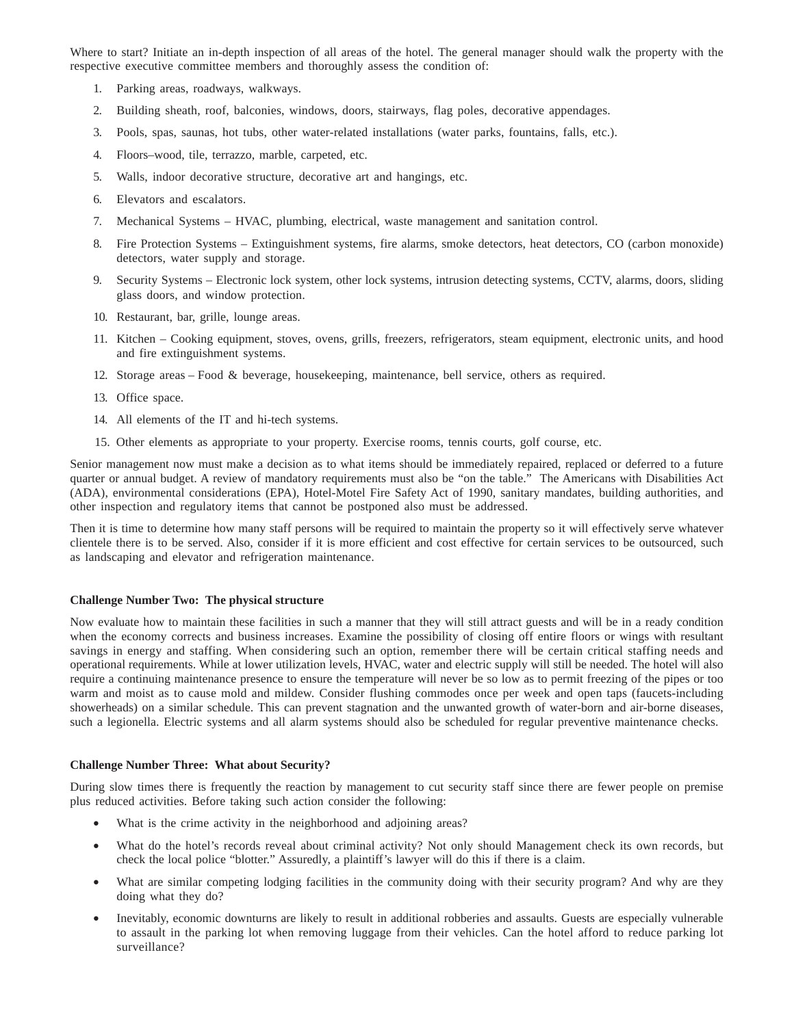Where to start? Initiate an in-depth inspection of all areas of the hotel. The general manager should walk the property with the respective executive committee members and thoroughly assess the condition of:

- 1. Parking areas, roadways, walkways.
- 2. Building sheath, roof, balconies, windows, doors, stairways, flag poles, decorative appendages.
- 3. Pools, spas, saunas, hot tubs, other water-related installations (water parks, fountains, falls, etc.).
- 4. Floors–wood, tile, terrazzo, marble, carpeted, etc.
- 5. Walls, indoor decorative structure, decorative art and hangings, etc.
- 6. Elevators and escalators.
- 7. Mechanical Systems HVAC, plumbing, electrical, waste management and sanitation control.
- 8. Fire Protection Systems Extinguishment systems, fire alarms, smoke detectors, heat detectors, CO (carbon monoxide) detectors, water supply and storage.
- 9. Security Systems Electronic lock system, other lock systems, intrusion detecting systems, CCTV, alarms, doors, sliding glass doors, and window protection.
- 10. Restaurant, bar, grille, lounge areas.
- 11. Kitchen Cooking equipment, stoves, ovens, grills, freezers, refrigerators, steam equipment, electronic units, and hood and fire extinguishment systems.
- 12. Storage areas Food & beverage, housekeeping, maintenance, bell service, others as required.
- 13. Office space.
- 14. All elements of the IT and hi-tech systems.
- 15. Other elements as appropriate to your property. Exercise rooms, tennis courts, golf course, etc.

Senior management now must make a decision as to what items should be immediately repaired, replaced or deferred to a future quarter or annual budget. A review of mandatory requirements must also be "on the table." The Americans with Disabilities Act (ADA), environmental considerations (EPA), Hotel-Motel Fire Safety Act of 1990, sanitary mandates, building authorities, and other inspection and regulatory items that cannot be postponed also must be addressed.

Then it is time to determine how many staff persons will be required to maintain the property so it will effectively serve whatever clientele there is to be served. Also, consider if it is more efficient and cost effective for certain services to be outsourced, such as landscaping and elevator and refrigeration maintenance.

### **Challenge Number Two: The physical structure**

Now evaluate how to maintain these facilities in such a manner that they will still attract guests and will be in a ready condition when the economy corrects and business increases. Examine the possibility of closing off entire floors or wings with resultant savings in energy and staffing. When considering such an option, remember there will be certain critical staffing needs and operational requirements. While at lower utilization levels, HVAC, water and electric supply will still be needed. The hotel will also require a continuing maintenance presence to ensure the temperature will never be so low as to permit freezing of the pipes or too warm and moist as to cause mold and mildew. Consider flushing commodes once per week and open taps (faucets-including showerheads) on a similar schedule. This can prevent stagnation and the unwanted growth of water-born and air-borne diseases, such a legionella. Electric systems and all alarm systems should also be scheduled for regular preventive maintenance checks.

#### **Challenge Number Three: What about Security?**

During slow times there is frequently the reaction by management to cut security staff since there are fewer people on premise plus reduced activities. Before taking such action consider the following:

- What is the crime activity in the neighborhood and adjoining areas?
- What do the hotel's records reveal about criminal activity? Not only should Management check its own records, but check the local police "blotter." Assuredly, a plaintiff's lawyer will do this if there is a claim.
- What are similar competing lodging facilities in the community doing with their security program? And why are they doing what they do?
- Inevitably, economic downturns are likely to result in additional robberies and assaults. Guests are especially vulnerable to assault in the parking lot when removing luggage from their vehicles. Can the hotel afford to reduce parking lot surveillance?